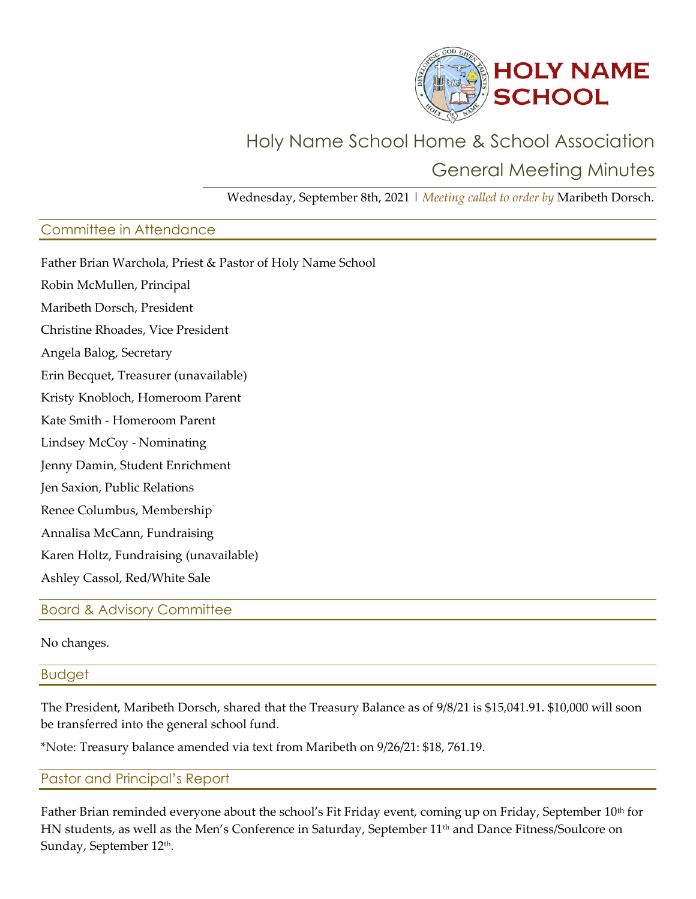

# Holy Name School Home & School Association General Meeting Minutes

Wednesday, September 8th, 2021 | *Meeting called to order by* Maribeth Dorsch.

## Committee in Attendance

Father Brian Warchola, Priest & Pastor of Holy Name School Robin McMullen, Principal Maribeth Dorsch, President Christine Rhoades, Vice President Angela Balog, Secretary Erin Becquet, Treasurer (unavailable) Kristy Knobloch, Homeroom Parent Kate Smith - Homeroom Parent Lindsey McCoy - Nominating Jenny Damin, Student Enrichment Jen Saxion, Public Relations Renee Columbus, Membership Annalisa McCann, Fundraising Karen Holtz, Fundraising (unavailable) Ashley Cassol, Red/White Sale

Board & Advisory Committee

No changes.

**Budget** 

The President, Maribeth Dorsch, shared that the Treasury Balance as of 9/8/21 is \$15,041.91. \$10,000 will soon be transferred into the general school fund.

\*Note: Treasury balance amended via text from Maribeth on 9/26/21: \$18, 761.19.

Pastor and Principal's Report

Father Brian reminded everyone about the school's Fit Friday event, coming up on Friday, September 10<sup>th</sup> for HN students, as well as the Men's Conference in Saturday, September 11<sup>th</sup> and Dance Fitness/Soulcore on Sunday, September 12th.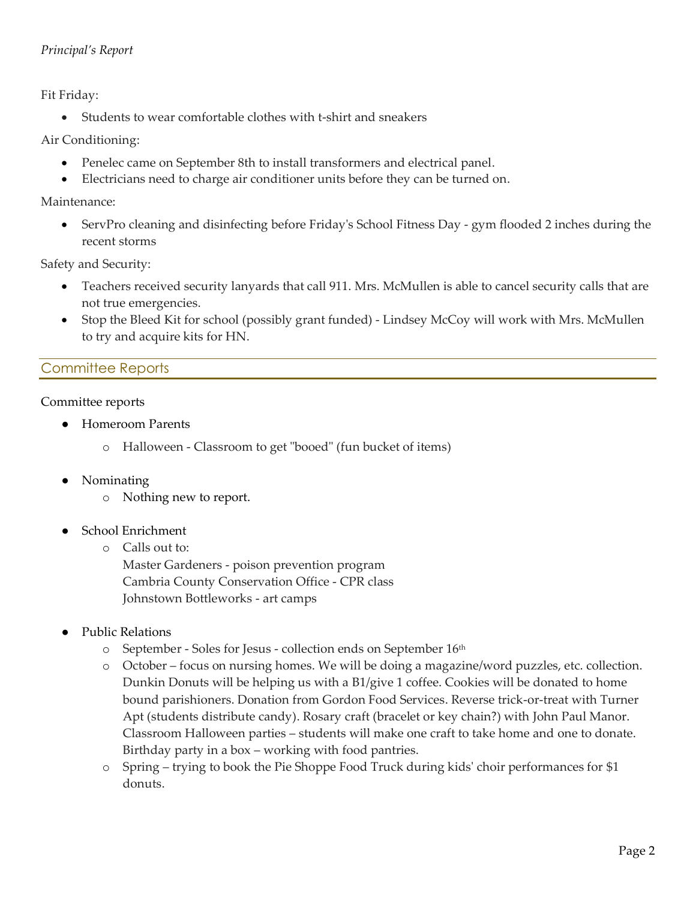#### *Principal's Report*

Fit Friday:

• Students to wear comfortable clothes with t-shirt and sneakers

Air Conditioning:

- Penelec came on September 8th to install transformers and electrical panel.
- Electricians need to charge air conditioner units before they can be turned on.

Maintenance:

• ServPro cleaning and disinfecting before Friday's School Fitness Day - gym flooded 2 inches during the recent storms

Safety and Security:

- Teachers received security lanyards that call 911. Mrs. McMullen is able to cancel security calls that are not true emergencies.
- Stop the Bleed Kit for school (possibly grant funded) Lindsey McCoy will work with Mrs. McMullen to try and acquire kits for HN.

# Committee Reports

#### Committee reports

- **Homeroom Parents** 
	- o Halloween Classroom to get "booed" (fun bucket of items)
- **Nominating** 
	- o Nothing new to report.
- School Enrichment
	- o Calls out to:

Master Gardeners - poison prevention program Cambria County Conservation Office - CPR class Johnstown Bottleworks - art camps

- Public Relations
	- o September Soles for Jesus collection ends on September 16th
	- o October focus on nursing homes. We will be doing a magazine/word puzzles, etc. collection. Dunkin Donuts will be helping us with a B1/give 1 coffee. Cookies will be donated to home bound parishioners. Donation from Gordon Food Services. Reverse trick-or-treat with Turner Apt (students distribute candy). Rosary craft (bracelet or key chain?) with John Paul Manor. Classroom Halloween parties – students will make one craft to take home and one to donate. Birthday party in a box – working with food pantries.
	- o Spring trying to book the Pie Shoppe Food Truck during kids' choir performances for \$1 donuts.